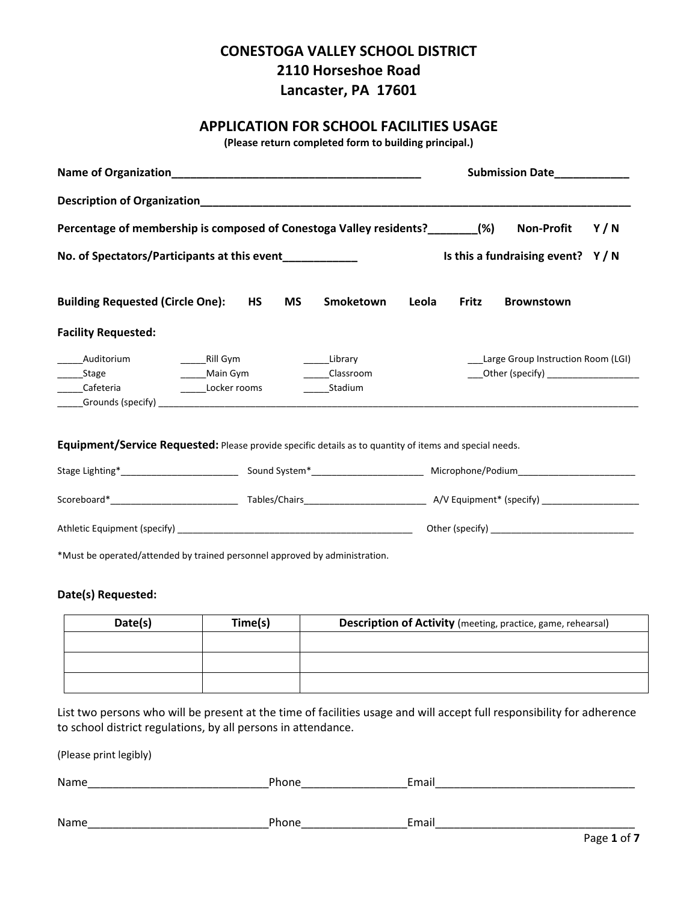# **CONESTOGA VALLEY SCHOOL DISTRICT 2110 Horseshoe Road Lancaster, PA 17601**

# **APPLICATION FOR SCHOOL FACILITIES USAGE**

**(Please return completed form to building principal.)**

|                                                                                                         |  |           |           |                                 |       | Submission Date_____________       |                                    |     |  |  |  |
|---------------------------------------------------------------------------------------------------------|--|-----------|-----------|---------------------------------|-------|------------------------------------|------------------------------------|-----|--|--|--|
|                                                                                                         |  |           |           |                                 |       |                                    |                                    |     |  |  |  |
| Percentage of membership is composed of Conestoga Valley residents? ________(%)                         |  |           |           |                                 |       |                                    | <b>Non-Profit</b>                  | Y/N |  |  |  |
| No. of Spectators/Participants at this event____________                                                |  |           |           |                                 |       | Is this a fundraising event? $Y/N$ |                                    |     |  |  |  |
| <b>Building Requested (Circle One):</b>                                                                 |  | <b>HS</b> | <b>MS</b> | Smoketown                       | Leola | Fritz                              | <b>Brownstown</b>                  |     |  |  |  |
| <b>Facility Requested:</b>                                                                              |  |           |           |                                 |       |                                    |                                    |     |  |  |  |
| Auditorium<br><b>Example 2018</b> Main Gym<br>Stage<br>Cafeteria Locker rooms                           |  |           |           | Library<br>Classroom<br>Stadium |       |                                    | Large Group Instruction Room (LGI) |     |  |  |  |
| Equipment/Service Requested: Please provide specific details as to quantity of items and special needs. |  |           |           |                                 |       |                                    |                                    |     |  |  |  |
|                                                                                                         |  |           |           |                                 |       |                                    |                                    |     |  |  |  |
|                                                                                                         |  |           |           |                                 |       |                                    |                                    |     |  |  |  |
|                                                                                                         |  |           |           |                                 |       |                                    |                                    |     |  |  |  |
| *Must be operated/attended by trained personnel approved by administration.                             |  |           |           |                                 |       |                                    |                                    |     |  |  |  |

#### **Date(s) Requested:**

| Date(s) | Time(s) | Description of Activity (meeting, practice, game, rehearsal) |
|---------|---------|--------------------------------------------------------------|
|         |         |                                                              |
|         |         |                                                              |
|         |         |                                                              |

List two persons who will be present at the time of facilities usage and will accept full responsibility for adherence to school district regulations, by all persons in attendance.

(Please print legibly)

| Name | Phone | Email |                 |
|------|-------|-------|-----------------|
|      |       |       |                 |
| Name | Phone | Email |                 |
|      |       |       | _ _ _ _ _ _ _ _ |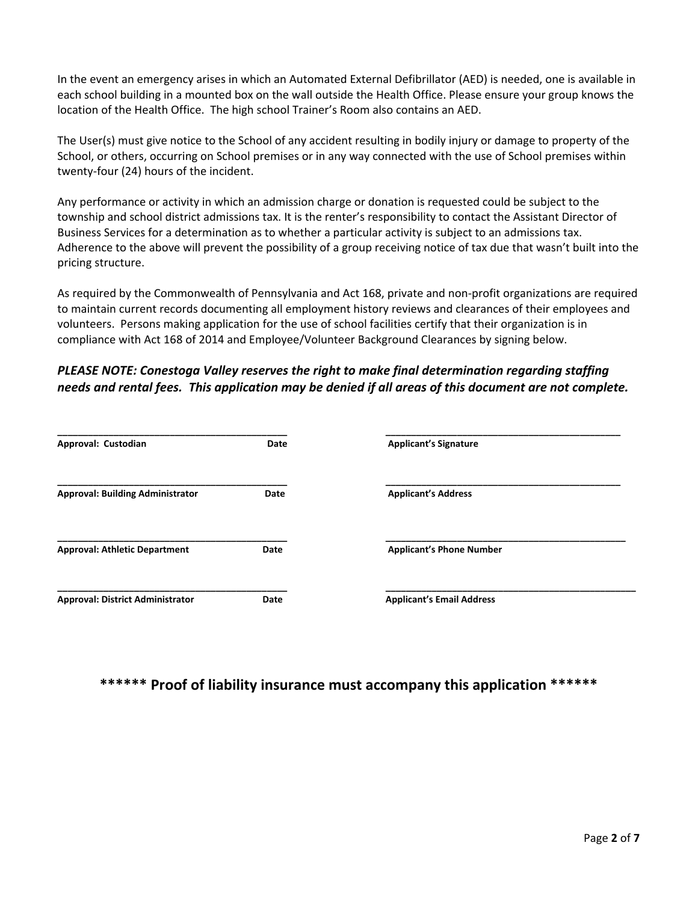In the event an emergency arises in which an Automated External Defibrillator (AED) is needed, one is available in each school building in a mounted box on the wall outside the Health Office. Please ensure your group knows the location of the Health Office. The high school Trainer's Room also contains an AED.

The User(s) must give notice to the School of any accident resulting in bodily injury or damage to property of the School, or others, occurring on School premises or in any way connected with the use of School premises within twenty‐four (24) hours of the incident.

Any performance or activity in which an admission charge or donation is requested could be subject to the township and school district admissions tax. It is the renter's responsibility to contact the Assistant Director of Business Services for a determination as to whether a particular activity is subject to an admissions tax. Adherence to the above will prevent the possibility of a group receiving notice of tax due that wasn't built into the pricing structure.

As required by the Commonwealth of Pennsylvania and Act 168, private and non‐profit organizations are required to maintain current records documenting all employment history reviews and clearances of their employees and volunteers. Persons making application for the use of school facilities certify that their organization is in compliance with Act 168 of 2014 and Employee/Volunteer Background Clearances by signing below.

# *PLEASE NOTE: Conestoga Valley reserves the right to make final determination regarding staffing* needs and rental fees. This application may be denied if all areas of this document are not complete.

| Approval: Custodian                     | Date | <b>Applicant's Signature</b>     |  |
|-----------------------------------------|------|----------------------------------|--|
| <b>Approval: Building Administrator</b> | Date | <b>Applicant's Address</b>       |  |
| <b>Approval: Athletic Department</b>    | Date | <b>Applicant's Phone Number</b>  |  |
| <b>Approval: District Administrator</b> | Date | <b>Applicant's Email Address</b> |  |

# **\*\*\*\*\*\* Proof of liability insurance must accompany this application \*\*\*\*\*\***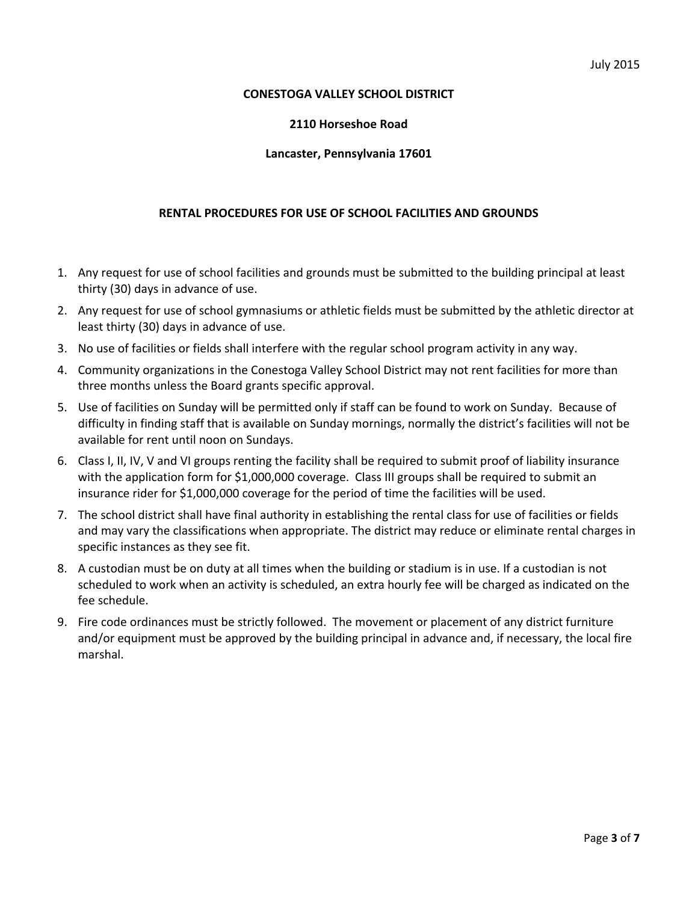#### **CONESTOGA VALLEY SCHOOL DISTRICT**

#### **2110 Horseshoe Road**

#### **Lancaster, Pennsylvania 17601**

#### **RENTAL PROCEDURES FOR USE OF SCHOOL FACILITIES AND GROUNDS**

- 1. Any request for use of school facilities and grounds must be submitted to the building principal at least thirty (30) days in advance of use.
- 2. Any request for use of school gymnasiums or athletic fields must be submitted by the athletic director at least thirty (30) days in advance of use.
- 3. No use of facilities or fields shall interfere with the regular school program activity in any way.
- 4. Community organizations in the Conestoga Valley School District may not rent facilities for more than three months unless the Board grants specific approval.
- 5. Use of facilities on Sunday will be permitted only if staff can be found to work on Sunday. Because of difficulty in finding staff that is available on Sunday mornings, normally the district's facilities will not be available for rent until noon on Sundays.
- 6. Class I, II, IV, V and VI groups renting the facility shall be required to submit proof of liability insurance with the application form for \$1,000,000 coverage. Class III groups shall be required to submit an insurance rider for \$1,000,000 coverage for the period of time the facilities will be used.
- 7. The school district shall have final authority in establishing the rental class for use of facilities or fields and may vary the classifications when appropriate. The district may reduce or eliminate rental charges in specific instances as they see fit.
- 8. A custodian must be on duty at all times when the building or stadium is in use. If a custodian is not scheduled to work when an activity is scheduled, an extra hourly fee will be charged as indicated on the fee schedule.
- 9. Fire code ordinances must be strictly followed. The movement or placement of any district furniture and/or equipment must be approved by the building principal in advance and, if necessary, the local fire marshal.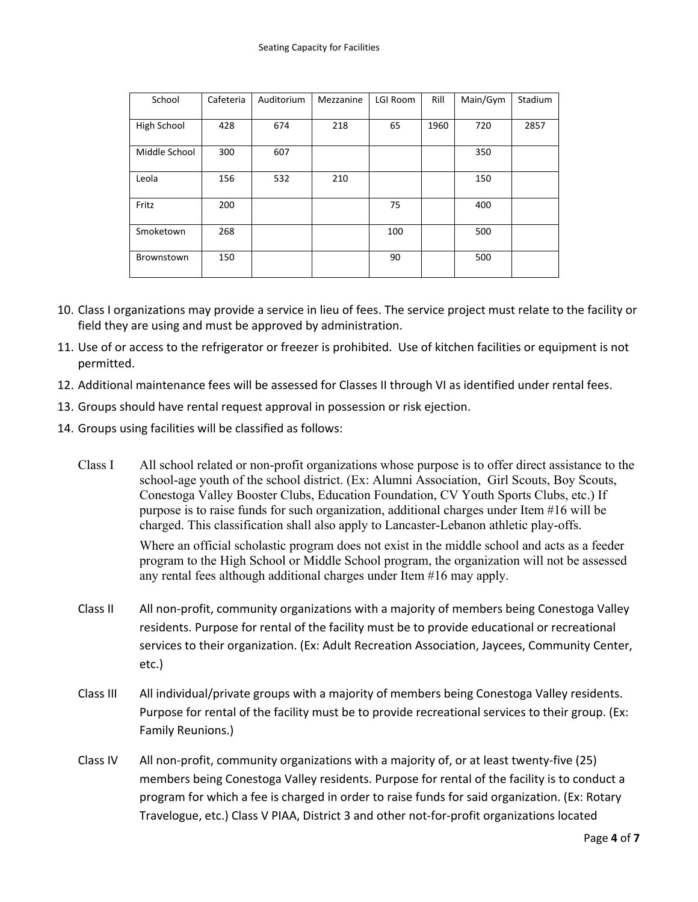| School        | Cafeteria | Auditorium | Mezzanine | LGI Room | Rill | Main/Gym | Stadium |
|---------------|-----------|------------|-----------|----------|------|----------|---------|
| High School   | 428       | 674        | 218       | 65       | 1960 | 720      | 2857    |
| Middle School | 300       | 607        |           |          |      | 350      |         |
| Leola         | 156       | 532        | 210       |          |      | 150      |         |
| Fritz         | 200       |            |           | 75       |      | 400      |         |
| Smoketown     | 268       |            |           | 100      |      | 500      |         |
| Brownstown    | 150       |            |           | 90       |      | 500      |         |

- 10. Class I organizations may provide a service in lieu of fees. The service project must relate to the facility or field they are using and must be approved by administration.
- 11. Use of or access to the refrigerator or freezer is prohibited. Use of kitchen facilities or equipment is not permitted.
- 12. Additional maintenance fees will be assessed for Classes II through VI as identified under rental fees.
- 13. Groups should have rental request approval in possession or risk ejection.
- 14. Groups using facilities will be classified as follows:
	- Class I All school related or non-profit organizations whose purpose is to offer direct assistance to the school-age youth of the school district. (Ex: Alumni Association, Girl Scouts, Boy Scouts, Conestoga Valley Booster Clubs, Education Foundation, CV Youth Sports Clubs, etc.) If purpose is to raise funds for such organization, additional charges under Item #16 will be charged. This classification shall also apply to Lancaster-Lebanon athletic play-offs.

 Where an official scholastic program does not exist in the middle school and acts as a feeder program to the High School or Middle School program, the organization will not be assessed any rental fees although additional charges under Item #16 may apply.

- Class II All non‐profit, community organizations with a majority of members being Conestoga Valley residents. Purpose for rental of the facility must be to provide educational or recreational services to their organization. (Ex: Adult Recreation Association, Jaycees, Community Center, etc.)
- Class III All individual/private groups with a majority of members being Conestoga Valley residents. Purpose for rental of the facility must be to provide recreational services to their group. (Ex: Family Reunions.)
- Class IV All non‐profit, community organizations with a majority of, or at least twenty‐five (25) members being Conestoga Valley residents. Purpose for rental of the facility is to conduct a program for which a fee is charged in order to raise funds for said organization. (Ex: Rotary Travelogue, etc.) Class V PIAA, District 3 and other not‐for‐profit organizations located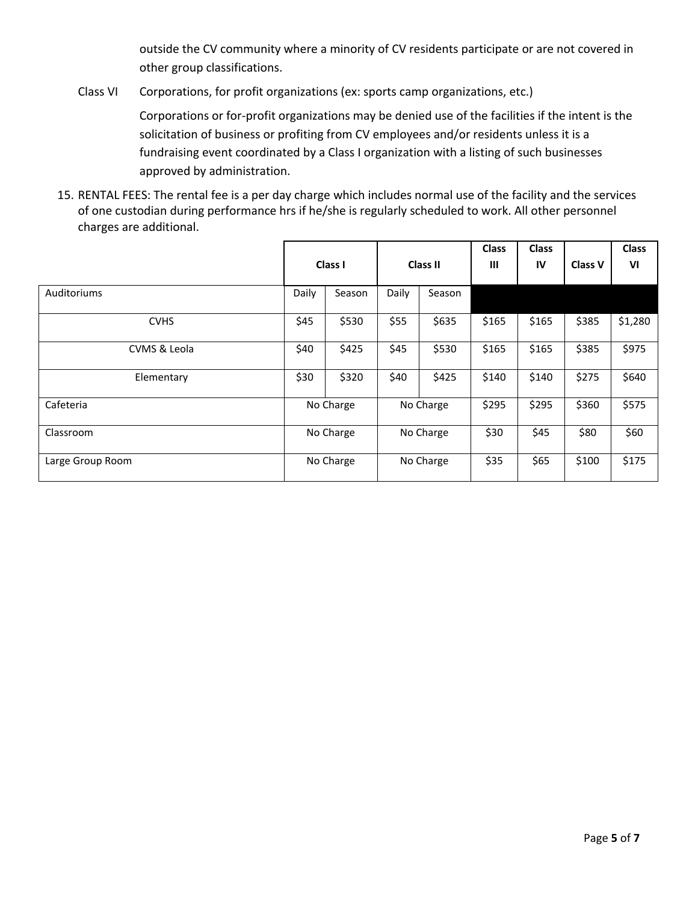outside the CV community where a minority of CV residents participate or are not covered in other group classifications.

Class VI Corporations, for profit organizations (ex: sports camp organizations, etc.)

Corporations or for‐profit organizations may be denied use of the facilities if the intent is the solicitation of business or profiting from CV employees and/or residents unless it is a fundraising event coordinated by a Class I organization with a listing of such businesses approved by administration.

15. RENTAL FEES: The rental fee is a per day charge which includes normal use of the facility and the services of one custodian during performance hrs if he/she is regularly scheduled to work. All other personnel charges are additional.

|                    | Class I   |           | <b>Class II</b> |        | <b>Class</b><br>Ш | <b>Class</b><br>IV | <b>Class V</b> | <b>Class</b><br>VI |
|--------------------|-----------|-----------|-----------------|--------|-------------------|--------------------|----------------|--------------------|
| <b>Auditoriums</b> | Daily     | Season    | Daily           | Season |                   |                    |                |                    |
| <b>CVHS</b>        | \$45      | \$530     | \$55            | \$635  | \$165             | \$165              | \$385          | \$1,280            |
| CVMS & Leola       | \$40      | \$425     | \$45            | \$530  | \$165             | \$165              | \$385          | \$975              |
| Elementary         | \$30      | \$320     | \$40            | \$425  | \$140             | \$140              | \$275          | \$640              |
| Cafeteria          | No Charge |           | No Charge       |        | \$295             | \$295              | \$360          | \$575              |
| Classroom          | No Charge |           | No Charge       |        | \$30              | \$45               | \$80           | \$60               |
| Large Group Room   |           | No Charge | No Charge       |        | \$35              | \$65               | \$100          | \$175              |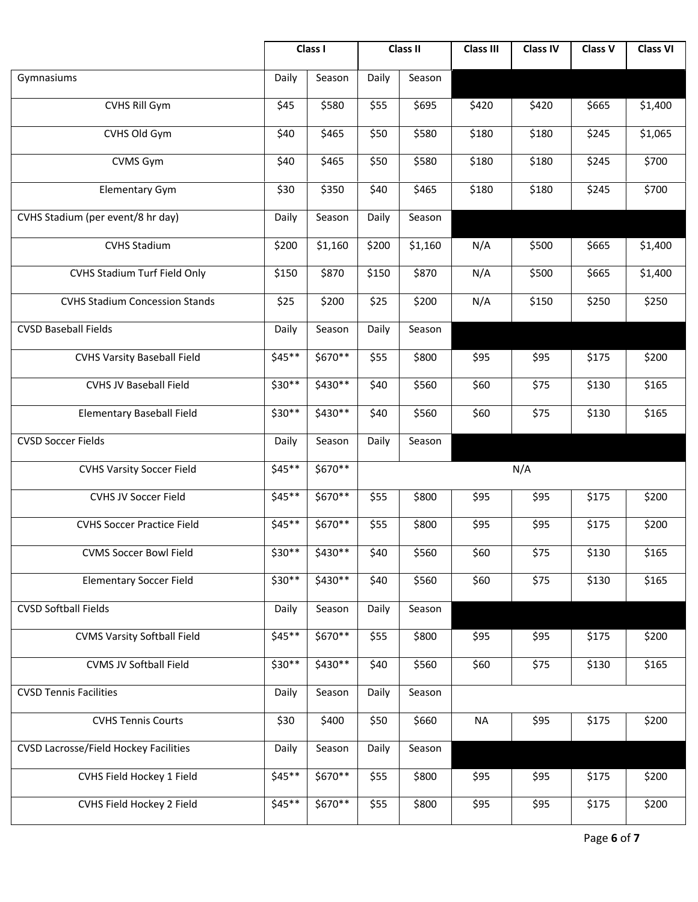|                                              |          | Class I  |       | <b>Class II</b> | <b>Class III</b> | <b>Class IV</b> | Class V | <b>Class VI</b> |
|----------------------------------------------|----------|----------|-------|-----------------|------------------|-----------------|---------|-----------------|
| Gymnasiums                                   | Daily    | Season   | Daily | Season          |                  |                 |         |                 |
| CVHS Rill Gym                                | \$45     | \$580    | \$55  | \$695           | \$420            | \$420           | \$665   | \$1,400         |
| CVHS Old Gym                                 | \$40     | \$465    | \$50  | \$580           | \$180            | \$180           | \$245   | \$1,065         |
| CVMS Gym                                     | \$40     | \$465    | \$50  | \$580           | \$180            | \$180           | \$245   | \$700           |
| <b>Elementary Gym</b>                        | \$30     | \$350    | \$40  | \$465           | \$180            | \$180           | \$245   | \$700           |
| CVHS Stadium (per event/8 hr day)            | Daily    | Season   | Daily | Season          |                  |                 |         |                 |
| <b>CVHS Stadium</b>                          | \$200    | \$1,160  | \$200 | \$1,160         | N/A              | \$500           | \$665   | \$1,400         |
| CVHS Stadium Turf Field Only                 | \$150    | \$870    | \$150 | \$870           | N/A              | \$500           | \$665   | \$1,400         |
| <b>CVHS Stadium Concession Stands</b>        | \$25     | \$200    | \$25  | \$200           | N/A              | \$150           | \$250   | \$250           |
| <b>CVSD Baseball Fields</b>                  | Daily    | Season   | Daily | Season          |                  |                 |         |                 |
| <b>CVHS Varsity Baseball Field</b>           | $$45**$$ | \$670**  | \$55  | \$800           | \$95             | \$95            | \$175   | \$200           |
| <b>CVHS JV Baseball Field</b>                | \$30**   | \$430**  | \$40  | \$560           | \$60             | \$75            | \$130   | \$165           |
| <b>Elementary Baseball Field</b>             | \$30**   | \$430**  | \$40  | \$560           | \$60             | \$75            | \$130   | \$165           |
| <b>CVSD Soccer Fields</b>                    | Daily    | Season   | Daily | Season          |                  |                 |         |                 |
| <b>CVHS Varsity Soccer Field</b>             | $$45**$$ | \$670**  |       |                 |                  | N/A             |         |                 |
| <b>CVHS JV Soccer Field</b>                  | $$45**$$ | \$670**  | \$55  | \$800           | \$95             | \$95            | \$175   | \$200           |
| <b>CVHS Soccer Practice Field</b>            | $$45**$$ | \$670**  | \$55  | \$800           | \$95             | \$95            | \$175   | \$200           |
| <b>CVMS Soccer Bowl Field</b>                | \$30**   | \$430**  | \$40  | \$560           | \$60             | \$75            | \$130   | \$165           |
| <b>Elementary Soccer Field</b>               | \$30**   | $$430**$ | \$40  | \$560           | \$60             | \$75            | \$130   | \$165           |
| <b>CVSD Softball Fields</b>                  | Daily    | Season   | Daily | Season          |                  |                 |         |                 |
| <b>CVMS Varsity Softball Field</b>           | $$45**$$ | \$670**  | \$55  | \$800           | \$95             | \$95            | \$175   | \$200           |
| CVMS JV Softball Field                       | \$30**   | \$430**  | \$40  | \$560           | \$60             | \$75            | \$130   | \$165           |
| <b>CVSD Tennis Facilities</b>                | Daily    | Season   | Daily | Season          |                  |                 |         |                 |
| <b>CVHS Tennis Courts</b>                    | \$30     | \$400    | \$50  | \$660           | <b>NA</b>        | \$95            | \$175   | \$200           |
| <b>CVSD Lacrosse/Field Hockey Facilities</b> | Daily    | Season   | Daily | Season          |                  |                 |         |                 |
| CVHS Field Hockey 1 Field                    | $$45**$$ | \$670**  | \$55  | \$800           | \$95             | \$95            | \$175   | \$200           |
| CVHS Field Hockey 2 Field                    | $$45**$$ | \$670**  | \$55  | \$800           | \$95             | \$95            | \$175   | \$200           |